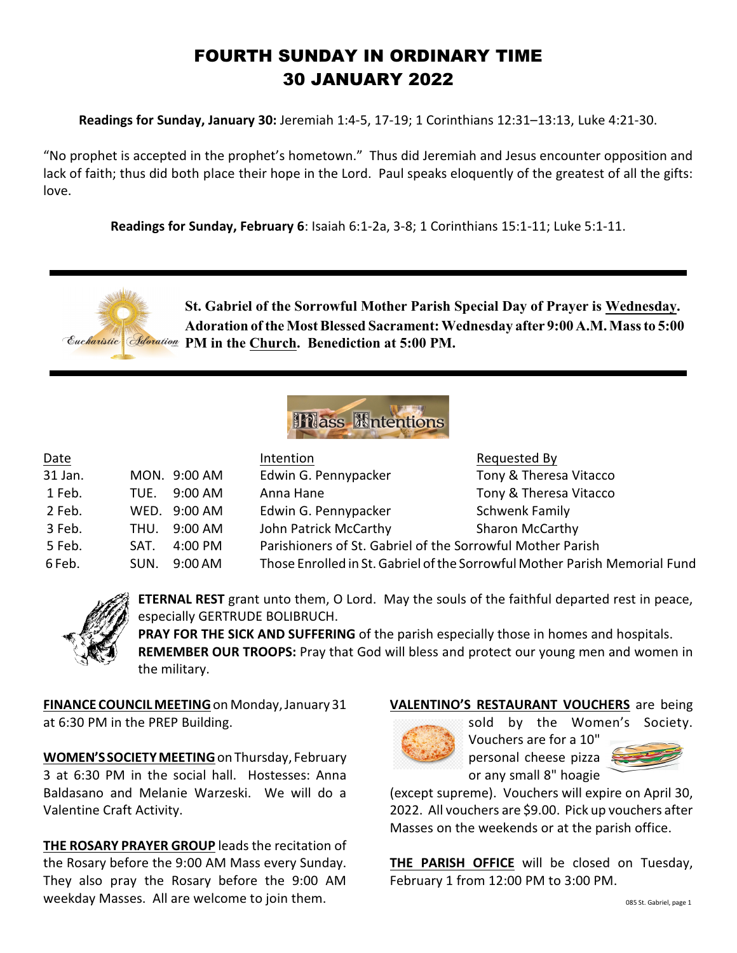# FOURTH SUNDAY IN ORDINARY TIME 30 JANUARY 2022

**Readings for Sunday, January 30:** Jeremiah 1:4-5, 17-19; 1 Corinthians 12:31–13:13, Luke 4:21-30.

"No prophet is accepted in the prophet's hometown." Thus did Jeremiah and Jesus encounter opposition and lack of faith; thus did both place their hope in the Lord. Paul speaks eloquently of the greatest of all the gifts: love.

**Readings for Sunday, February 6**: Isaiah 6:1-2a, 3-8; 1 Corinthians 15:1-11; Luke 5:1-11.





| Date    |      |              | Intention                                                                  | Requested By           |
|---------|------|--------------|----------------------------------------------------------------------------|------------------------|
| 31 Jan. |      | MON. 9:00 AM | Edwin G. Pennypacker                                                       | Tony & Theresa Vitacco |
| 1 Feb.  | TUE. | 9:00 AM      | Anna Hane                                                                  | Tony & Theresa Vitacco |
| 2 Feb.  |      | WED. 9:00 AM | Edwin G. Pennypacker                                                       | <b>Schwenk Family</b>  |
| 3 Feb.  | THU. | 9:00 AM      | John Patrick McCarthy                                                      | <b>Sharon McCarthy</b> |
| 5 Feb.  | SAT. | 4:00 PM      | Parishioners of St. Gabriel of the Sorrowful Mother Parish                 |                        |
| 6 Feb.  | SUN. | 9:00 AM      | Those Enrolled in St. Gabriel of the Sorrowful Mother Parish Memorial Fund |                        |



**ETERNAL REST** grant unto them, O Lord. May the souls of the faithful departed rest in peace, especially GERTRUDE BOLIBRUCH.

**PRAY FOR THE SICK AND SUFFERING** of the parish especially those in homes and hospitals. **REMEMBER OUR TROOPS:** Pray that God will bless and protect our young men and women in the military.

**FINANCE COUNCIL MEETING**on Monday, January 31 at 6:30 PM in the PREP Building.

**WOMEN'SSOCIETY MEETING**on Thursday, February 3 at 6:30 PM in the social hall. Hostesses: Anna Baldasano and Melanie Warzeski. We will do a Valentine Craft Activity.

**THE ROSARY PRAYER GROUP** leads the recitation of the Rosary before the 9:00 AM Mass every Sunday. They also pray the Rosary before the 9:00 AM weekday Masses. All are welcome to join them.

## **VALENTINO'S RESTAURANT VOUCHERS** are being



sold by the Women's Society. Vouchers are for a 10" personal cheese pizza or any small 8" hoagie

(except supreme). Vouchers will expire on April 30, 2022. All vouchers are \$9.00. Pick up vouchers after Masses on the weekends or at the parish office.

**THE PARISH OFFICE** will be closed on Tuesday, February 1 from 12:00 PM to 3:00 PM.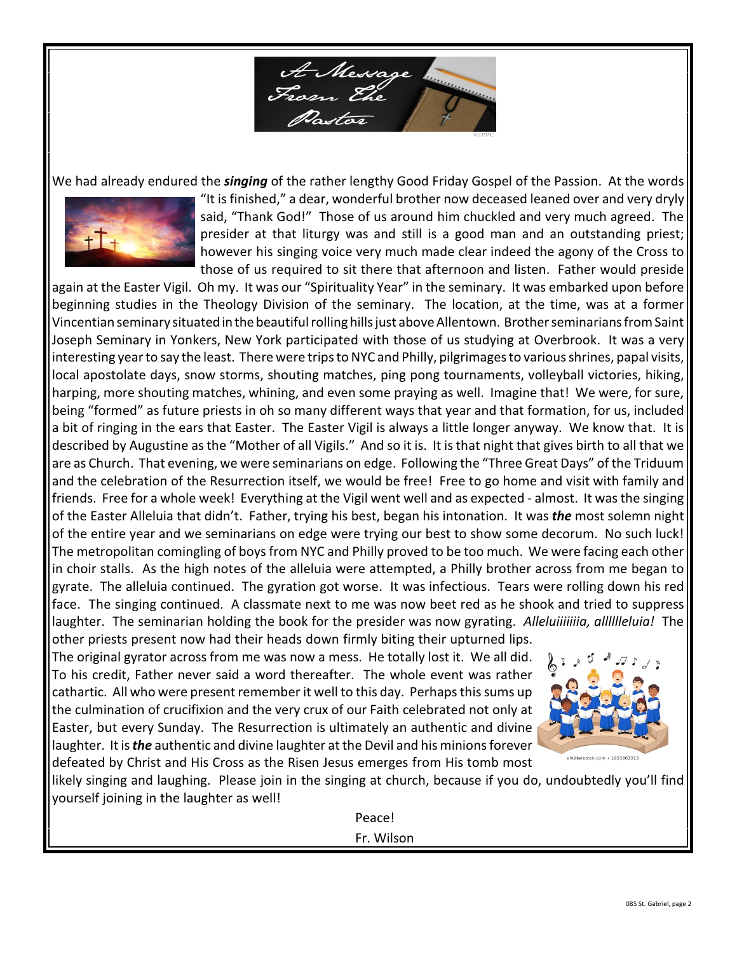A Message<br>From The

We had already endured the *singing* of the rather lengthy Good Friday Gospel of the Passion. At the words



"It is finished," a dear, wonderful brother now deceased leaned over and very dryly said, "Thank God!" Those of us around him chuckled and very much agreed. The presider at that liturgy was and still is a good man and an outstanding priest; however his singing voice very much made clear indeed the agony of the Cross to those of us required to sit there that afternoon and listen. Father would preside

again at the Easter Vigil. Oh my. It was our "Spirituality Year" in the seminary. It was embarked upon before beginning studies in the Theology Division of the seminary. The location, at the time, was at a former Vincentian seminary situated in the beautiful rolling hills just above Allentown. Brother seminarians from Saint Joseph Seminary in Yonkers, New York participated with those of us studying at Overbrook. It was a very interesting year to say the least. There were trips to NYC and Philly, pilgrimages to various shrines, papal visits, local apostolate days, snow storms, shouting matches, ping pong tournaments, volleyball victories, hiking, harping, more shouting matches, whining, and even some praying as well. Imagine that! We were, for sure, being "formed" as future priests in oh so many different ways that year and that formation, for us, included a bit of ringing in the ears that Easter. The Easter Vigil is always a little longer anyway. We know that. It is described by Augustine as the "Mother of all Vigils." And so it is. It is that night that gives birth to all that we are as Church. That evening, we were seminarians on edge. Following the "Three Great Days" of the Triduum and the celebration of the Resurrection itself, we would be free! Free to go home and visit with family and friends. Free for a whole week! Everything at the Vigil went well and as expected - almost. It was the singing of the Easter Alleluia that didn't. Father, trying his best, began his intonation. It was *the* most solemn night of the entire year and we seminarians on edge were trying our best to show some decorum. No such luck! The metropolitan comingling of boys from NYC and Philly proved to be too much. We were facing each other in choir stalls. As the high notes of the alleluia were attempted, a Philly brother across from me began to gyrate. The alleluia continued. The gyration got worse. It was infectious. Tears were rolling down his red face. The singing continued. A classmate next to me was now beet red as he shook and tried to suppress laughter. The seminarian holding the book for the presider was now gyrating. *Alleluiiiiiiia, alllllleluia!* The other priests present now had their heads down firmly biting their upturned lips.

The original gyrator across from me was now a mess. He totally lost it. We all did. To his credit, Father never said a word thereafter. The whole event was rather cathartic. All who were present remember it well to this day. Perhaps this sums up the culmination of crucifixion and the very crux of our Faith celebrated not only at Easter, but every Sunday. The Resurrection is ultimately an authentic and divine laughter. It is *the* authentic and divine laughter at the Devil and his minions forever defeated by Christ and His Cross as the Risen Jesus emerges from His tomb most



likely singing and laughing. Please join in the singing at church, because if you do, undoubtedly you'll find yourself joining in the laughter as well!

> Peace! Fr. Wilson